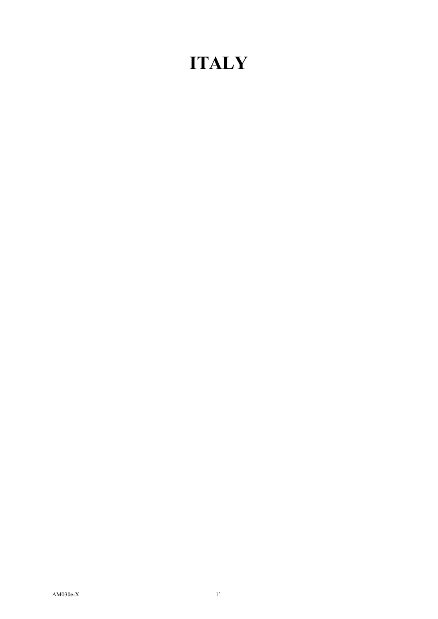## **ITALY**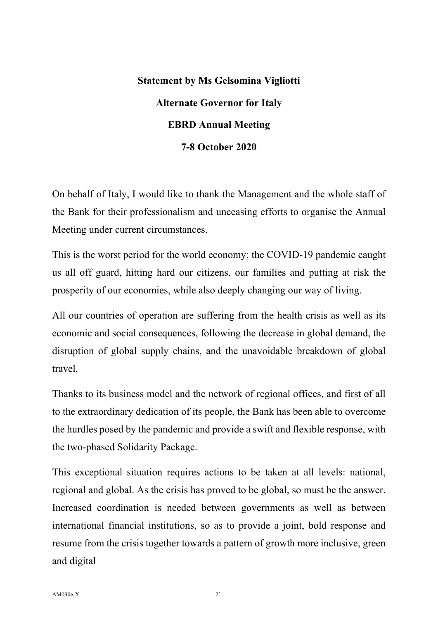## **Statement by Ms Gelsomina Vigliotti Alternate Governor for Italy EBRD Annual Meeting 7-8 October 2020**

On behalf of Italy, I would like to thank the Management and the whole staff of the Bank for their professionalism and unceasing efforts to organise the Annual Meeting under current circumstances.

This is the worst period for the world economy; the COVID-19 pandemic caught us all off guard, hitting hard our citizens, our families and putting at risk the prosperity of our economies, while also deeply changing our way of living.

All our countries of operation are suffering from the health crisis as well as its economic and social consequences, following the decrease in global demand, the disruption of global supply chains, and the unavoidable breakdown of global travel.

Thanks to its business model and the network of regional offices, and first of all to the extraordinary dedication of its people, the Bank has been able to overcome the hurdles posed by the pandemic and provide a swift and flexible response, with the two-phased Solidarity Package.

This exceptional situation requires actions to be taken at all levels: national, regional and global. As the crisis has proved to be global, so must be the answer. Increased coordination is needed between governments as well as between international financial institutions, so as to provide a joint, bold response and resume from the crisis together towards a pattern of growth more inclusive, green and digital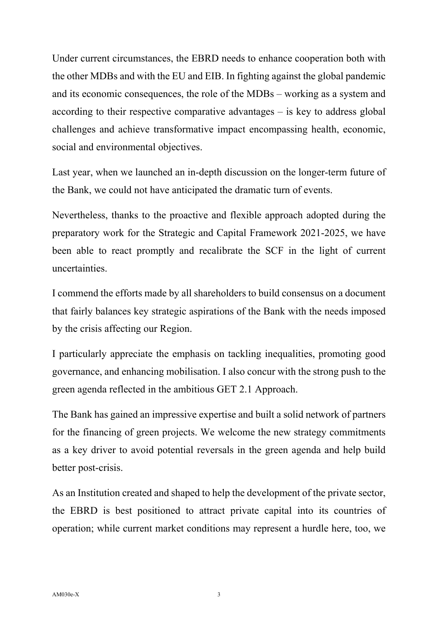Under current circumstances, the EBRD needs to enhance cooperation both with the other MDBs and with the EU and EIB. In fighting against the global pandemic and its economic consequences, the role of the MDBs – working as a system and according to their respective comparative advantages – is key to address global challenges and achieve transformative impact encompassing health, economic, social and environmental objectives.

Last year, when we launched an in-depth discussion on the longer-term future of the Bank, we could not have anticipated the dramatic turn of events.

Nevertheless, thanks to the proactive and flexible approach adopted during the preparatory work for the Strategic and Capital Framework 2021-2025, we have been able to react promptly and recalibrate the SCF in the light of current uncertainties.

I commend the efforts made by all shareholders to build consensus on a document that fairly balances key strategic aspirations of the Bank with the needs imposed by the crisis affecting our Region.

I particularly appreciate the emphasis on tackling inequalities, promoting good governance, and enhancing mobilisation. I also concur with the strong push to the green agenda reflected in the ambitious GET 2.1 Approach.

The Bank has gained an impressive expertise and built a solid network of partners for the financing of green projects. We welcome the new strategy commitments as a key driver to avoid potential reversals in the green agenda and help build better post-crisis.

As an Institution created and shaped to help the development of the private sector, the EBRD is best positioned to attract private capital into its countries of operation; while current market conditions may represent a hurdle here, too, we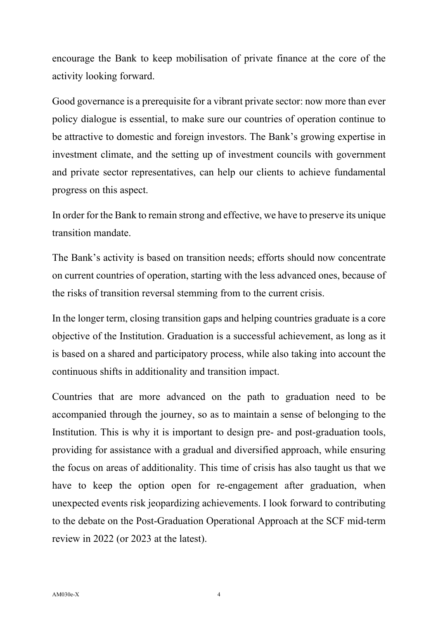encourage the Bank to keep mobilisation of private finance at the core of the activity looking forward.

Good governance is a prerequisite for a vibrant private sector: now more than ever policy dialogue is essential, to make sure our countries of operation continue to be attractive to domestic and foreign investors. The Bank's growing expertise in investment climate, and the setting up of investment councils with government and private sector representatives, can help our clients to achieve fundamental progress on this aspect.

In order for the Bank to remain strong and effective, we have to preserve its unique transition mandate.

The Bank's activity is based on transition needs; efforts should now concentrate on current countries of operation, starting with the less advanced ones, because of the risks of transition reversal stemming from to the current crisis.

In the longer term, closing transition gaps and helping countries graduate is a core objective of the Institution. Graduation is a successful achievement, as long as it is based on a shared and participatory process, while also taking into account the continuous shifts in additionality and transition impact.

Countries that are more advanced on the path to graduation need to be accompanied through the journey, so as to maintain a sense of belonging to the Institution. This is why it is important to design pre- and post-graduation tools, providing for assistance with a gradual and diversified approach, while ensuring the focus on areas of additionality. This time of crisis has also taught us that we have to keep the option open for re-engagement after graduation, when unexpected events risk jeopardizing achievements. I look forward to contributing to the debate on the Post-Graduation Operational Approach at the SCF mid-term review in 2022 (or 2023 at the latest).